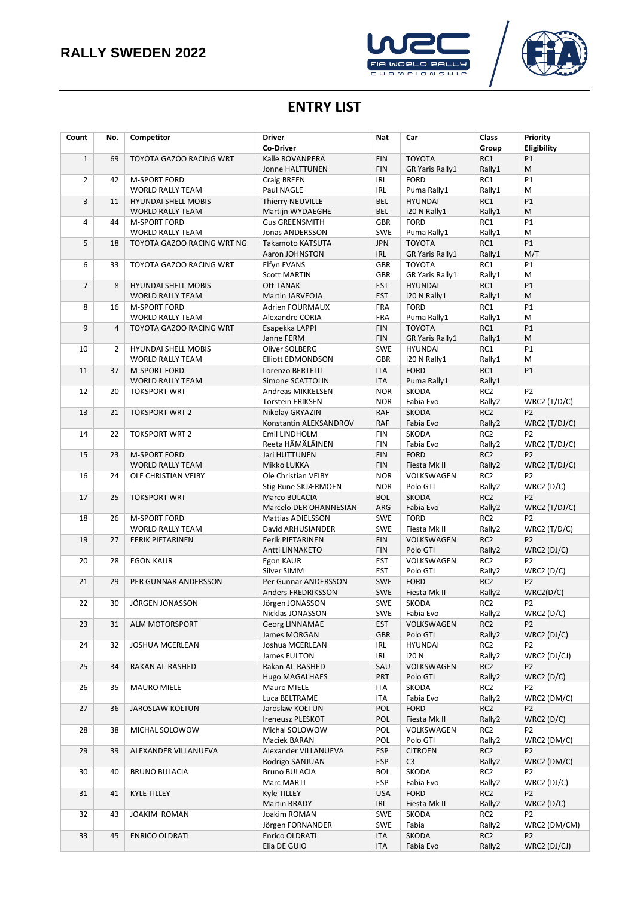



## **ENTRY LIST**

| Count          | No.            | Competitor                                     | <b>Driver</b><br><b>Co-Driver</b>         | <b>Nat</b>               | Car                              | <b>Class</b><br>Group     | Priority<br>Eligibility           |
|----------------|----------------|------------------------------------------------|-------------------------------------------|--------------------------|----------------------------------|---------------------------|-----------------------------------|
| $\mathbf{1}$   | 69             | TOYOTA GAZOO RACING WRT                        | Kalle ROVANPERÄ                           | <b>FIN</b>               | <b>TOYOTA</b>                    | RC1                       | P1                                |
|                |                |                                                | <b>Jonne HALTTUNEN</b>                    | <b>FIN</b>               | <b>GR Yaris Rally1</b>           | Rally1                    | M                                 |
| $\overline{2}$ | 42             | <b>M-SPORT FORD</b>                            | Craig BREEN                               | <b>IRL</b>               | <b>FORD</b>                      | RC1                       | P1                                |
|                |                | <b>WORLD RALLY TEAM</b>                        | Paul NAGLE                                | <b>IRL</b>               | Puma Rally1                      | Rally1                    | M                                 |
| 3              | 11             | <b>HYUNDAI SHELL MOBIS</b>                     | Thierry NEUVILLE                          | <b>BEL</b><br><b>BEL</b> | <b>HYUNDAI</b>                   | RC1                       | P1                                |
| 4              | 44             | <b>WORLD RALLY TEAM</b><br><b>M-SPORT FORD</b> | Martijn WYDAEGHE<br><b>Gus GREENSMITH</b> | <b>GBR</b>               | i20 N Rally1<br><b>FORD</b>      | Rally1<br>RC1             | M<br>P1                           |
|                |                | <b>WORLD RALLY TEAM</b>                        | Jonas ANDERSSON                           | <b>SWE</b>               | Puma Rally1                      | Rally1                    | M                                 |
| 5              | 18             | TOYOTA GAZOO RACING WRT NG                     | Takamoto KATSUTA                          | <b>JPN</b>               | <b>TOYOTA</b>                    | RC1                       | P1                                |
|                |                |                                                | Aaron JOHNSTON                            | IRL                      | <b>GR Yaris Rally1</b>           | Rally1                    | M/T                               |
| 6              | 33             | TOYOTA GAZOO RACING WRT                        | <b>Elfyn EVANS</b>                        | <b>GBR</b>               | <b>TOYOTA</b>                    | RC1                       | P1                                |
|                |                |                                                | <b>Scott MARTIN</b>                       | <b>GBR</b>               | GR Yaris Rally1                  | Rally1                    | M                                 |
| $\overline{7}$ | 8              | <b>HYUNDAI SHELL MOBIS</b>                     | Ott TÄNAK                                 | <b>EST</b>               | <b>HYUNDAI</b>                   | RC1                       | P1                                |
|                |                | <b>WORLD RALLY TEAM</b>                        | Martin JÄRVEOJA                           | <b>EST</b>               | i20 N Rally1                     | Rally1                    | M                                 |
| 8              | 16             | <b>M-SPORT FORD</b>                            | <b>Adrien FOURMAUX</b>                    | FRA                      | <b>FORD</b>                      | RC1                       | P1                                |
| 9              | $\overline{4}$ | <b>WORLD RALLY TEAM</b>                        | Alexandre CORIA                           | FRA<br><b>FIN</b>        | Puma Rally1<br><b>TOYOTA</b>     | Rally1<br>RC1             | M                                 |
|                |                | TOYOTA GAZOO RACING WRT                        | Esapekka LAPPI<br>Janne FERM              | <b>FIN</b>               | <b>GR Yaris Rally1</b>           | Rally1                    | P1<br>M                           |
| 10             | $\overline{2}$ | <b>HYUNDAI SHELL MOBIS</b>                     | Oliver SOLBERG                            | SWE                      | <b>HYUNDAI</b>                   | RC1                       | P1                                |
|                |                | <b>WORLD RALLY TEAM</b>                        | <b>Elliott EDMONDSON</b>                  | <b>GBR</b>               | i20 N Rally1                     | Rally1                    | M                                 |
| 11             | 37             | <b>M-SPORT FORD</b>                            | Lorenzo BERTELLI                          | <b>ITA</b>               | <b>FORD</b>                      | RC1                       | P1                                |
|                |                | <b>WORLD RALLY TEAM</b>                        | Simone SCATTOLIN                          | <b>ITA</b>               | Puma Rally1                      | Rally1                    |                                   |
| 12             | 20             | <b>TOKSPORT WRT</b>                            | Andreas MIKKELSEN                         | <b>NOR</b>               | SKODA                            | RC <sub>2</sub>           | P <sub>2</sub>                    |
|                |                |                                                | <b>Torstein ERIKSEN</b>                   | <b>NOR</b>               | Fabia Evo                        | Rally2                    | WRC2 $(T/D/C)$                    |
| 13             | 21             | <b>TOKSPORT WRT 2</b>                          | Nikolay GRYAZIN                           | <b>RAF</b>               | <b>SKODA</b>                     | RC <sub>2</sub>           | P <sub>2</sub>                    |
|                |                |                                                | Konstantin ALEKSANDROV                    | <b>RAF</b>               | Fabia Evo                        | Rally2                    | $WRC2$ (T/DJ/C)                   |
| 14             | 22             | <b>TOKSPORT WRT 2</b>                          | <b>Emil LINDHOLM</b><br>Reeta HÄMÄLÄINEN  | <b>FIN</b><br><b>FIN</b> | SKODA<br>Fabia Evo               | RC <sub>2</sub>           | P <sub>2</sub>                    |
| 15             | 23             | <b>M-SPORT FORD</b>                            | Jari HUTTUNEN                             | <b>FIN</b>               | <b>FORD</b>                      | Rally2<br>RC <sub>2</sub> | $WRC2$ (T/DJ/C)<br>P <sub>2</sub> |
|                |                | <b>WORLD RALLY TEAM</b>                        | Mikko LUKKA                               | <b>FIN</b>               | Fiesta Mk II                     | Rally2                    | WRC2 (T/DJ/C)                     |
| 16             | 24             | OLE CHRISTIAN VEIBY                            | Ole Christian VEIBY                       | <b>NOR</b>               | VOLKSWAGEN                       | RC <sub>2</sub>           | P <sub>2</sub>                    |
|                |                |                                                | Stig Rune SKJÆRMOEN                       | <b>NOR</b>               | Polo GTI                         | Rally2                    | WRC2(D/C)                         |
| 17             | 25             | <b>TOKSPORT WRT</b>                            | Marco BULACIA                             | <b>BOL</b>               | <b>SKODA</b>                     | RC <sub>2</sub>           | P <sub>2</sub>                    |
|                |                |                                                | Marcelo DER OHANNESIAN                    | ARG                      | Fabia Evo                        | Rally2                    | WRC2 (T/DJ/C)                     |
| 18             | 26             | <b>M-SPORT FORD</b>                            | <b>Mattias ADIELSSON</b>                  | <b>SWE</b>               | <b>FORD</b>                      | RC <sub>2</sub>           | P <sub>2</sub>                    |
|                |                | <b>WORLD RALLY TEAM</b>                        | David ARHUSIANDER                         | <b>SWE</b>               | Fiesta Mk II                     | Rally2                    | WRC2 $(T/D/C)$                    |
| 19             | 27             | <b>EERIK PIETARINEN</b>                        | Eerik PIETARINEN<br>Antti LINNAKETO       | <b>FIN</b><br><b>FIN</b> | VOLKSWAGEN<br>Polo GTI           | RC <sub>2</sub><br>Rally2 | P <sub>2</sub>                    |
| 20             | 28             | <b>EGON KAUR</b>                               | Egon KAUR                                 | <b>EST</b>               | VOLKSWAGEN                       | RC <sub>2</sub>           | WRC2 (DJ/C)<br>P <sub>2</sub>     |
|                |                |                                                | Silver SIMM                               | <b>EST</b>               | Polo GTI                         | Rally2                    | WRC2(D/C)                         |
| 21             | 29             | PER GUNNAR ANDERSSON                           | Per Gunnar ANDERSSON                      | <b>SWE</b>               | <b>FORD</b>                      | RC <sub>2</sub>           | P <sub>2</sub>                    |
|                |                |                                                | <b>Anders FREDRIKSSON</b>                 | <b>SWE</b>               | Fiesta Mk II                     | Rally2                    | WRC2(D/C)                         |
| 22             | 30             | JÖRGEN JONASSON                                | Jörgen JONASSON                           | <b>SWE</b>               | SKODA                            | RC <sub>2</sub>           | P <sub>2</sub>                    |
|                |                |                                                | Nicklas JONASSON                          | <b>SWE</b>               | Fabia Evo                        | Rally2                    | WRC2(D/C)                         |
| 23             | 31             | ALM MOTORSPORT                                 | Georg LINNAMAE                            | <b>EST</b>               | VOLKSWAGEN                       | RC <sub>2</sub>           | P <sub>2</sub>                    |
|                |                |                                                | James MORGAN                              | <b>GBR</b>               | Polo GTI                         | Rally2                    | WRC2(DJ/C)                        |
| 24             | 32             | JOSHUA MCERLEAN                                | Joshua MCERLEAN<br>James FULTON           | IRL<br>IRL               | <b>HYUNDAI</b><br>i20 N          | RC <sub>2</sub><br>Rally2 | P <sub>2</sub><br>WRC2 (DJ/CJ)    |
| 25             | 34             | RAKAN AL-RASHED                                | Rakan AL-RASHED                           | SAU                      | VOLKSWAGEN                       | RC <sub>2</sub>           | P <sub>2</sub>                    |
|                |                |                                                | <b>Hugo MAGALHAES</b>                     | PRT                      | Polo GTI                         | Rally2                    | WRC2(D/C)                         |
| 26             | 35             | <b>MAURO MIELE</b>                             | Mauro MIELE                               | ITA                      | SKODA                            | RC <sub>2</sub>           | P <sub>2</sub>                    |
|                |                |                                                | Luca BELTRAME                             | ITA                      | Fabia Evo                        | Rally2                    | WRC2 (DM/C)                       |
| 27             | 36             | <b>JAROSLAW KOŁTUN</b>                         | Jaroslaw KOŁTUN                           | POL                      | <b>FORD</b>                      | RC <sub>2</sub>           | P2                                |
|                |                |                                                | Ireneusz PLESKOT                          | POL                      | Fiesta Mk II                     | Rally2                    | WRC2(D/C)                         |
| 28             | 38             | MICHAL SOLOWOW                                 | Michal SOLOWOW                            | POL                      | VOLKSWAGEN                       | RC <sub>2</sub>           | P <sub>2</sub>                    |
|                |                |                                                | Maciek BARAN                              | POL                      | Polo GTI                         | Rally2                    | WRC2 (DM/C)                       |
| 29             | 39             | ALEXANDER VILLANUEVA                           | Alexander VILLANUEVA<br>Rodrigo SANJUAN   | <b>ESP</b><br><b>ESP</b> | <b>CITROEN</b><br>C <sub>3</sub> | RC <sub>2</sub><br>Rally2 | P <sub>2</sub><br>WRC2 (DM/C)     |
| 30             | 40             | <b>BRUNO BULACIA</b>                           | <b>Bruno BULACIA</b>                      | <b>BOL</b>               | SKODA                            | RC <sub>2</sub>           | P2                                |
|                |                |                                                | Marc MARTI                                | ESP                      | Fabia Evo                        | Rally2                    | WRC2 (DJ/C)                       |
| 31             | 41             | <b>KYLE TILLEY</b>                             | Kyle TILLEY                               | <b>USA</b>               | <b>FORD</b>                      | RC <sub>2</sub>           | P <sub>2</sub>                    |
|                |                |                                                | Martin BRADY                              | IRL                      | Fiesta Mk II                     | Rally2                    | WRC2(D/C)                         |
| 32             | 43             | JOAKIM ROMAN                                   | Joakim ROMAN                              | <b>SWE</b>               | SKODA                            | RC <sub>2</sub>           | P <sub>2</sub>                    |
|                |                |                                                | Jörgen FORNANDER                          | <b>SWE</b>               | Fabia                            | Rally2                    | WRC2 (DM/CM)                      |
| 33             | 45             | <b>ENRICO OLDRATI</b>                          | Enrico OLDRATI                            | ITA                      | SKODA                            | RC <sub>2</sub>           | P <sub>2</sub>                    |
|                |                |                                                | Elia DE GUIO                              | ITA                      | Fabia Evo                        | Rally2                    | WRC2 (DJ/CJ)                      |